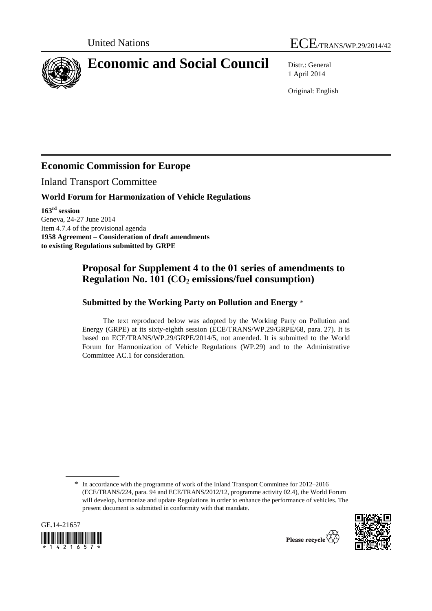



# **Economic and Social Council** Distr.: General

1 April 2014

Original: English

## **Economic Commission for Europe**

Inland Transport Committee

#### **World Forum for Harmonization of Vehicle Regulations**

**163rd session**  Geneva, 24-27 June 2014 Item 4.7.4 of the provisional agenda **1958 Agreement – Consideration of draft amendments to existing Regulations submitted by GRPE** 

### **Proposal for Supplement 4 to the 01 series of amendments to Regulation No. 101 (CO<sub>2</sub> emissions/fuel consumption)**

#### **Submitted by the Working Party on Pollution and Energy** \*

The text reproduced below was adopted by the Working Party on Pollution and Energy (GRPE) at its sixty-eighth session (ECE/TRANS/WP.29/GRPE/68, para. 27). It is based on ECE/TRANS/WP.29/GRPE/2014/5, not amended. It is submitted to the World Forum for Harmonization of Vehicle Regulations (WP.29) and to the Administrative Committee AC.1 for consideration.

<sup>\*</sup> In accordance with the programme of work of the Inland Transport Committee for 2012–2016 (ECE/TRANS/224, para. 94 and ECE/TRANS/2012/12, programme activity 02.4), the World Forum will develop, harmonize and update Regulations in order to enhance the performance of vehicles. The present document is submitted in conformity with that mandate.



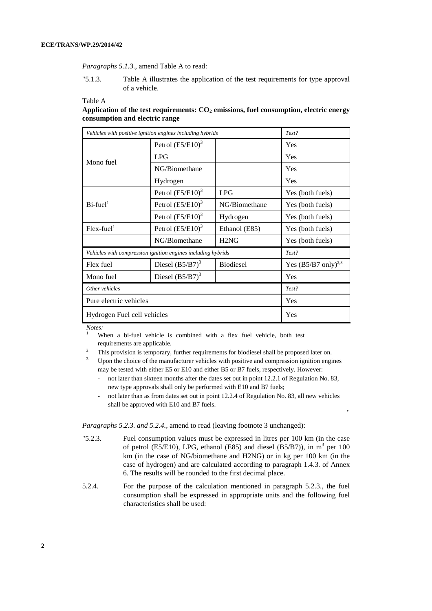#### *Paragraphs 5.1.3.*, amend Table A to read:

"5.1.3. Table A illustrates the application of the test requirements for type approval of a vehicle.

#### Table A

| Application of the test requirements: $CO2$ emissions, fuel consumption, electric energy |  |  |
|------------------------------------------------------------------------------------------|--|--|
| consumption and electric range                                                           |  |  |

| Vehicles with positive ignition engines including hybrids    |                     | Test?            |                                  |
|--------------------------------------------------------------|---------------------|------------------|----------------------------------|
| Mono fuel                                                    | Petrol $(E5/E10)^3$ |                  | <b>Yes</b>                       |
|                                                              | <b>LPG</b>          |                  | Yes                              |
|                                                              | NG/Biomethane       |                  | Yes                              |
|                                                              | Hydrogen            |                  | Yes                              |
|                                                              | Petrol $(E5/E10)^3$ | LPG              | Yes (both fuels)                 |
| $Bi$ -fuel <sup>1</sup>                                      | Petrol $(E5/E10)^3$ | NG/Biomethane    | Yes (both fuels)                 |
|                                                              | Petrol $(E5/E10)^3$ | Hydrogen         | Yes (both fuels)                 |
| $Flex-fuel1$                                                 | Petrol $(E5/E10)^3$ | Ethanol (E85)    | Yes (both fuels)                 |
|                                                              | NG/Biomethane       | H2NG             | Yes (both fuels)                 |
| Vehicles with compression ignition engines including hybrids |                     |                  | Test?                            |
| Flex fuel                                                    | Diesel $(B5/B7)^3$  | <b>Biodiesel</b> | Yes $(B5/B7 \text{ only})^{2,3}$ |
| Mono fuel                                                    | Diesel $(B5/B7)^3$  |                  | Yes                              |
| Other vehicles                                               |                     |                  | Test?                            |
| Pure electric vehicles                                       |                     | Yes              |                                  |
| Hydrogen Fuel cell vehicles                                  |                     | Yes              |                                  |

*Notes:*  1

 When a bi-fuel vehicle is combined with a flex fuel vehicle, both test requirements are applicable.

This provision is temporary, further requirements for biodiesel shall be proposed later on.

3 Upon the choice of the manufacturer vehicles with positive and compression ignition engines may be tested with either E5 or E10 and either B5 or B7 fuels, respectively. However:

- not later than sixteen months after the dates set out in point 12.2.1 of Regulation No. 83, new type approvals shall only be performed with E10 and B7 fuels;
- not later than as from dates set out in point 12.2.4 of Regulation No. 83, all new vehicles shall be approved with E10 and B7 fuels.

"

*Paragraphs 5.2.3. and 5.2.4.,* amend to read (leaving footnote 3 unchanged):

- "5.2.3. Fuel consumption values must be expressed in litres per 100 km (in the case of petrol (E5/E10), LPG, ethanol (E85) and diesel (B5/B7)), in  $m^3$  per 100 km (in the case of NG/biomethane and H2NG) or in kg per 100 km (in the case of hydrogen) and are calculated according to paragraph 1.4.3. of Annex 6. The results will be rounded to the first decimal place.
- 5.2.4. For the purpose of the calculation mentioned in paragraph 5.2.3., the fuel consumption shall be expressed in appropriate units and the following fuel characteristics shall be used: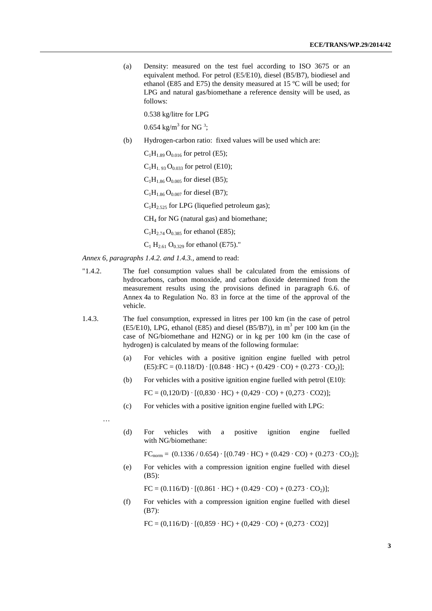(a) Density: measured on the test fuel according to ISO 3675 or an equivalent method. For petrol (E5/E10), diesel (B5/B7), biodiesel and ethanol (E85 and E75) the density measured at 15 ºC will be used; for LPG and natural gas/biomethane a reference density will be used, as follows:

0.538 kg/litre for LPG

0.654 kg/m<sup>3</sup> for NG<sup>3</sup>;

- (b) Hydrogen-carbon ratio: fixed values will be used which are:
	- $C_1H_{1.89}O_{0.016}$  for petrol (E5);

 $C_1H_{1.93}O_{0.033}$  for petrol (E10);

 $C_1H_{1.86}O_{0.005}$  for diesel (B5);

 $C_1H_{1.86}O_{0.007}$  for diesel (B7);

 $C_1H_2$ ,  $525$  for LPG (liquefied petroleum gas);

CH4 for NG (natural gas) and biomethane;

 $C_1H_{2,74}O_{0,385}$  for ethanol (E85);

 $C_1$  H<sub>2.61</sub> O<sub>0.329</sub> for ethanol (E75)."

*Annex 6, paragraphs 1.4.2. and 1.4.3.,* amend to read:

- "1.4.2. The fuel consumption values shall be calculated from the emissions of hydrocarbons, carbon monoxide, and carbon dioxide determined from the measurement results using the provisions defined in paragraph 6.6. of Annex 4a to Regulation No. 83 in force at the time of the approval of the vehicle.
- 1.4.3. The fuel consumption, expressed in litres per 100 km (in the case of petrol  $(E5/E10)$ , LPG, ethanol (E85) and diesel (B5/B7)), in m<sup>3</sup> per 100 km (in the case of NG/biomethane and H2NG) or in kg per 100 km (in the case of hydrogen) is calculated by means of the following formulae:
	- (a) For vehicles with a positive ignition engine fuelled with petrol  $(E5):FC = (0.118/D) \cdot [(0.848 \cdot HC) + (0.429 \cdot CO) + (0.273 \cdot CO_2)].$
	- (b) For vehicles with a positive ignition engine fuelled with petrol (E10):

 $FC = (0,120/D) \cdot [(0,830 \cdot HC) + (0,429 \cdot CO) + (0,273 \cdot CO2)];$ 

(c) For vehicles with a positive ignition engine fuelled with LPG:

man and the state of the

(d) For vehicles with a positive ignition engine fuelled with NG/biomethane:

 $FC_{norm} = (0.1336 / 0.654) \cdot [(0.749 \cdot HC) + (0.429 \cdot CO) + (0.273 \cdot CO_2)];$ 

(e) For vehicles with a compression ignition engine fuelled with diesel (B5):

 $FC = (0.116/D) \cdot [(0.861 \cdot HC) + (0.429 \cdot CO) + (0.273 \cdot CO_2)];$ 

(f) For vehicles with a compression ignition engine fuelled with diesel (B7):

 $FC = (0,116/D) \cdot [(0,859 \cdot HC) + (0,429 \cdot CO) + (0,273 \cdot CO2)]$